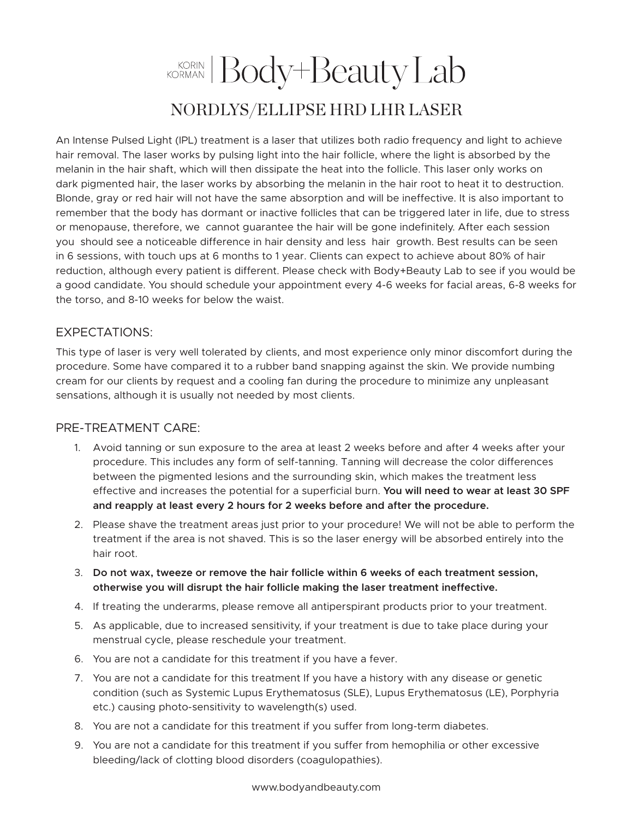## KORIN Body+Beauty Lab NORDLYS/ELLIPSE HRD LHR LASER

An Intense Pulsed Light (IPL) treatment is a laser that utilizes both radio frequency and light to achieve hair removal. The laser works by pulsing light into the hair follicle, where the light is absorbed by the melanin in the hair shaft, which will then dissipate the heat into the follicle. This laser only works on dark pigmented hair, the laser works by absorbing the melanin in the hair root to heat it to destruction. Blonde, gray or red hair will not have the same absorption and will be ineffective. It is also important to remember that the body has dormant or inactive follicles that can be triggered later in life, due to stress or menopause, therefore, we cannot guarantee the hair will be gone indefinitely. After each session you should see a noticeable difference in hair density and less hair growth. Best results can be seen in 6 sessions, with touch ups at 6 months to 1 year. Clients can expect to achieve about 80% of hair reduction, although every patient is different. Please check with Body+Beauty Lab to see if you would be a good candidate. You should schedule your appointment every 4-6 weeks for facial areas, 6-8 weeks for the torso, and 8-10 weeks for below the waist.

## EXPECTATIONS:

This type of laser is very well tolerated by clients, and most experience only minor discomfort during the procedure. Some have compared it to a rubber band snapping against the skin. We provide numbing cream for our clients by request and a cooling fan during the procedure to minimize any unpleasant sensations, although it is usually not needed by most clients.

## PRE-TREATMENT CARE:

- 1. Avoid tanning or sun exposure to the area at least 2 weeks before and after 4 weeks after your procedure. This includes any form of self-tanning. Tanning will decrease the color differences between the pigmented lesions and the surrounding skin, which makes the treatment less effective and increases the potential for a superficial burn. **You will need to wear at least 30 SPF and reapply at least every 2 hours for 2 weeks before and after the procedure.**
- 2. Please shave the treatment areas just prior to your procedure! We will not be able to perform the treatment if the area is not shaved. This is so the laser energy will be absorbed entirely into the hair root.
- 3. **Do not wax, tweeze or remove the hair follicle within 6 weeks of each treatment session, otherwise you will disrupt the hair follicle making the laser treatment ineffective.**
- 4. If treating the underarms, please remove all antiperspirant products prior to your treatment.
- 5. As applicable, due to increased sensitivity, if your treatment is due to take place during your menstrual cycle, please reschedule your treatment.
- 6. You are not a candidate for this treatment if you have a fever.
- 7. You are not a candidate for this treatment If you have a history with any disease or genetic condition (such as Systemic Lupus Erythematosus (SLE), Lupus Erythematosus (LE), Porphyria etc.) causing photo-sensitivity to wavelength(s) used.
- 8. You are not a candidate for this treatment if you suffer from long-term diabetes.
- 9. You are not a candidate for this treatment if you suffer from hemophilia or other excessive bleeding/lack of clotting blood disorders (coagulopathies).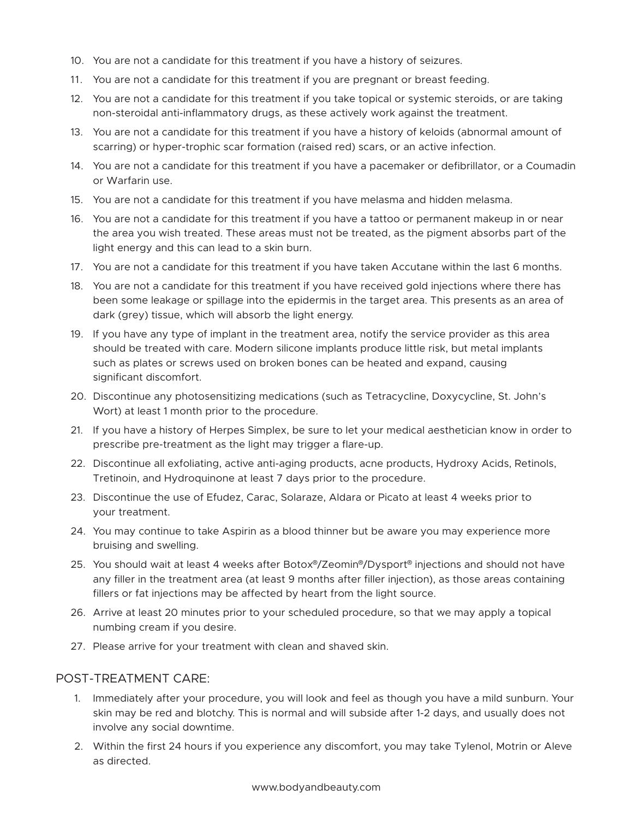- 10. You are not a candidate for this treatment if you have a history of seizures.
- 11. You are not a candidate for this treatment if you are pregnant or breast feeding.
- 12. You are not a candidate for this treatment if you take topical or systemic steroids, or are taking non-steroidal anti-inflammatory drugs, as these actively work against the treatment.
- 13. You are not a candidate for this treatment if you have a history of keloids (abnormal amount of scarring) or hyper-trophic scar formation (raised red) scars, or an active infection.
- 14. You are not a candidate for this treatment if you have a pacemaker or defibrillator, or a Coumadin or Warfarin use.
- 15. You are not a candidate for this treatment if you have melasma and hidden melasma.
- 16. You are not a candidate for this treatment if you have a tattoo or permanent makeup in or near the area you wish treated. These areas must not be treated, as the pigment absorbs part of the light energy and this can lead to a skin burn.
- 17. You are not a candidate for this treatment if you have taken Accutane within the last 6 months.
- 18. You are not a candidate for this treatment if you have received gold injections where there has been some leakage or spillage into the epidermis in the target area. This presents as an area of dark (grey) tissue, which will absorb the light energy.
- 19. If you have any type of implant in the treatment area, notify the service provider as this area should be treated with care. Modern silicone implants produce little risk, but metal implants such as plates or screws used on broken bones can be heated and expand, causing significant discomfort.
- 20. Discontinue any photosensitizing medications (such as Tetracycline, Doxycycline, St. John's Wort) at least 1 month prior to the procedure.
- 21. If you have a history of Herpes Simplex, be sure to let your medical aesthetician know in order to prescribe pre-treatment as the light may trigger a flare-up.
- 22. Discontinue all exfoliating, active anti-aging products, acne products, Hydroxy Acids, Retinols, Tretinoin, and Hydroquinone at least 7 days prior to the procedure.
- 23. Discontinue the use of Efudez, Carac, Solaraze, Aldara or Picato at least 4 weeks prior to your treatment.
- 24. You may continue to take Aspirin as a blood thinner but be aware you may experience more bruising and swelling.
- 25. You should wait at least 4 weeks after Botox<sup>®</sup>/Zeomin<sup>®</sup>/Dysport<sup>®</sup> injections and should not have any filler in the treatment area (at least 9 months after filler injection), as those areas containing fillers or fat injections may be affected by heart from the light source.
- 26. Arrive at least 20 minutes prior to your scheduled procedure, so that we may apply a topical numbing cream if you desire.
- 27. Please arrive for your treatment with clean and shaved skin.

## POST-TREATMENT CARE:

- 1. Immediately after your procedure, you will look and feel as though you have a mild sunburn. Your skin may be red and blotchy. This is normal and will subside after 1-2 days, and usually does not involve any social downtime.
- 2. Within the first 24 hours if you experience any discomfort, you may take Tylenol, Motrin or Aleve as directed.